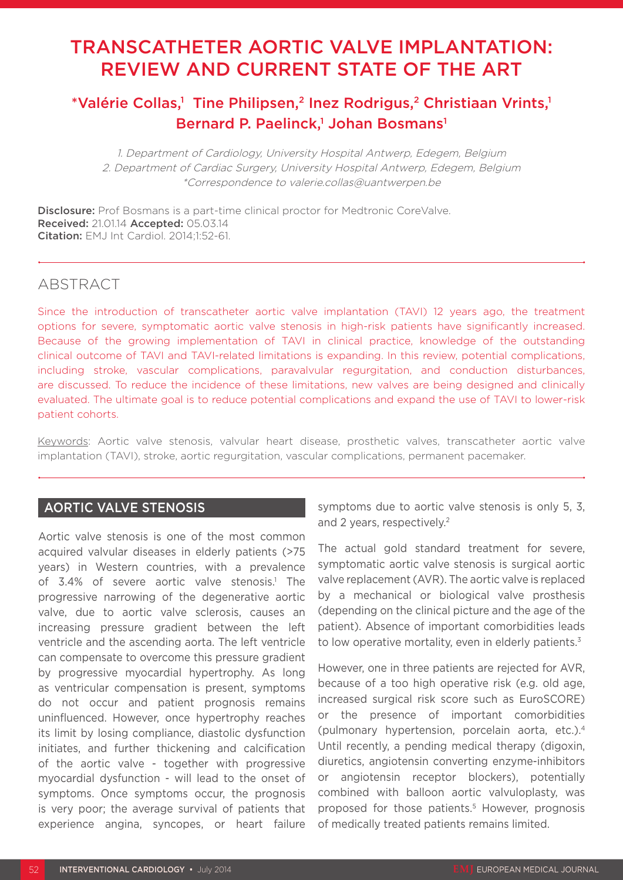# TRANSCATHETER AORTIC VALVE IMPLANTATION: REVIEW AND CURRENT STATE OF THE ART

# \*Valérie Collas,<sup>1</sup> Tine Philipsen,<sup>2</sup> Inez Rodrigus,<sup>2</sup> Christiaan Vrints,<sup>1</sup> Bernard P. Paelinck,<sup>1</sup> Johan Bosmans<sup>1</sup>

1. Department of Cardiology, University Hospital Antwerp, Edegem, Belgium 2. Department of Cardiac Surgery, University Hospital Antwerp, Edegem, Belgium \*Correspondence to valerie.collas@uantwerpen.be

**Disclosure:** Prof Bosmans is a part-time clinical proctor for Medtronic CoreValve. Received: 21.01.14 Accepted: 05.03.14 Citation: EMJ Int Cardiol. 2014;1:52-61.

## ABSTRACT

Since the introduction of transcatheter aortic valve implantation (TAVI) 12 years ago, the treatment options for severe, symptomatic aortic valve stenosis in high-risk patients have significantly increased. Because of the growing implementation of TAVI in clinical practice, knowledge of the outstanding clinical outcome of TAVI and TAVI-related limitations is expanding. In this review, potential complications, including stroke, vascular complications, paravalvular regurgitation, and conduction disturbances, are discussed. To reduce the incidence of these limitations, new valves are being designed and clinically evaluated. The ultimate goal is to reduce potential complications and expand the use of TAVI to lower-risk patient cohorts.

Keywords: Aortic valve stenosis, valvular heart disease, prosthetic valves, transcatheter aortic valve implantation (TAVI), stroke, aortic regurgitation, vascular complications, permanent pacemaker.

## AORTIC VALVE STENOSIS

Aortic valve stenosis is one of the most common acquired valvular diseases in elderly patients (>75 years) in Western countries, with a prevalence of 3.4% of severe aortic valve stenosis.<sup>1</sup> The progressive narrowing of the degenerative aortic valve, due to aortic valve sclerosis, causes an increasing pressure gradient between the left ventricle and the ascending aorta. The left ventricle can compensate to overcome this pressure gradient by progressive myocardial hypertrophy. As long as ventricular compensation is present, symptoms do not occur and patient prognosis remains uninfluenced. However, once hypertrophy reaches its limit by losing compliance, diastolic dysfunction initiates, and further thickening and calcification of the aortic valve - together with progressive myocardial dysfunction - will lead to the onset of symptoms. Once symptoms occur, the prognosis is very poor; the average survival of patients that experience angina, syncopes, or heart failure

symptoms due to aortic valve stenosis is only 5, 3, and 2 years, respectively.2

The actual gold standard treatment for severe, symptomatic aortic valve stenosis is surgical aortic valve replacement (AVR). The aortic valve is replaced by a mechanical or biological valve prosthesis (depending on the clinical picture and the age of the patient). Absence of important comorbidities leads to low operative mortality, even in elderly patients. $3$ 

However, one in three patients are rejected for AVR, because of a too high operative risk (e.g. old age, increased surgical risk score such as EuroSCORE) or the presence of important comorbidities (pulmonary hypertension, porcelain aorta, etc.).4 Until recently, a pending medical therapy (digoxin, diuretics, angiotensin converting enzyme-inhibitors or angiotensin receptor blockers), potentially combined with balloon aortic valvuloplasty, was proposed for those patients.<sup>5</sup> However, prognosis of medically treated patients remains limited.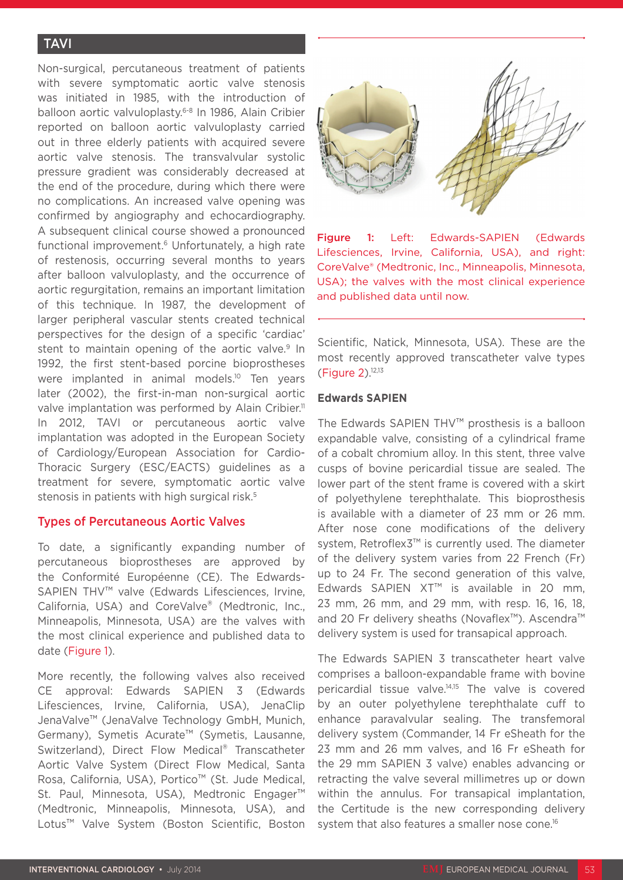## **TAVI**

Non-surgical, percutaneous treatment of patients with severe symptomatic aortic valve stenosis was initiated in 1985, with the introduction of balloon aortic valvuloplasty.6-8 In 1986, Alain Cribier reported on balloon aortic valvuloplasty carried out in three elderly patients with acquired severe aortic valve stenosis. The transvalvular systolic pressure gradient was considerably decreased at the end of the procedure, during which there were no complications. An increased valve opening was confirmed by angiography and echocardiography. A subsequent clinical course showed a pronounced functional improvement.<sup>6</sup> Unfortunately, a high rate of restenosis, occurring several months to years after balloon valvuloplasty, and the occurrence of aortic regurgitation, remains an important limitation of this technique. In 1987, the development of larger peripheral vascular stents created technical perspectives for the design of a specific 'cardiac' stent to maintain opening of the aortic valve.<sup>9</sup> In 1992, the first stent-based porcine bioprostheses were implanted in animal models.<sup>10</sup> Ten years later (2002), the first-in-man non-surgical aortic valve implantation was performed by Alain Cribier.<sup>11</sup> In 2012, TAVI or percutaneous aortic valve implantation was adopted in the European Society of Cardiology/European Association for Cardio-Thoracic Surgery (ESC/EACTS) guidelines as a treatment for severe, symptomatic aortic valve stenosis in patients with high surgical risk.<sup>5</sup>

## Types of Percutaneous Aortic Valves

To date, a significantly expanding number of percutaneous bioprostheses are approved by the Conformité Européenne (CE). The Edwards-SAPIEN THV™ valve (Edwards Lifesciences, Irvine, California, USA) and CoreValve® (Medtronic, Inc., Minneapolis, Minnesota, USA) are the valves with the most clinical experience and published data to date (Figure 1).

More recently, the following valves also received CE approval: Edwards SAPIEN 3 (Edwards Lifesciences, Irvine, California, USA), JenaClip JenaValve™ (JenaValve Technology GmbH, Munich, Germany), Symetis Acurate™ (Symetis, Lausanne, Switzerland), Direct Flow Medical® Transcatheter Aortic Valve System (Direct Flow Medical, Santa Rosa, California, USA), Portico™ (St. Jude Medical, St. Paul, Minnesota, USA), Medtronic Engager<sup>™</sup> (Medtronic, Minneapolis, Minnesota, USA), and Lotus™ Valve System (Boston Scientific, Boston



Figure 1: Left: Edwards-SAPIEN (Edwards Lifesciences, Irvine, California, USA), and right: CoreValve® (Medtronic, Inc., Minneapolis, Minnesota, USA); the valves with the most clinical experience and published data until now.

Scientific, Natick, Minnesota, USA). These are the most recently approved transcatheter valve types (Figure 2).12,13

#### **Edwards SAPIEN**

The Edwards SAPIEN THV™ prosthesis is a balloon expandable valve, consisting of a cylindrical frame of a cobalt chromium alloy. In this stent, three valve cusps of bovine pericardial tissue are sealed. The lower part of the stent frame is covered with a skirt of polyethylene terephthalate. This bioprosthesis is available with a diameter of 23 mm or 26 mm. After nose cone modifications of the delivery system, Retroflex3™ is currently used. The diameter of the delivery system varies from 22 French (Fr) up to 24 Fr. The second generation of this valve, Edwards SAPIEN XT™ is available in 20 mm, 23 mm, 26 mm, and 29 mm, with resp. 16, 16, 18, and 20 Fr delivery sheaths (Novaflex™). Ascendra™ delivery system is used for transapical approach.

The Edwards SAPIEN 3 transcatheter heart valve comprises a balloon-expandable frame with bovine pericardial tissue valve.14,15 The valve is covered by an outer polyethylene terephthalate cuff to enhance paravalvular sealing. The transfemoral delivery system (Commander, 14 Fr eSheath for the 23 mm and 26 mm valves, and 16 Fr eSheath for the 29 mm SAPIEN 3 valve) enables advancing or retracting the valve several millimetres up or down within the annulus. For transapical implantation, the Certitude is the new corresponding delivery system that also features a smaller nose cone.<sup>16</sup>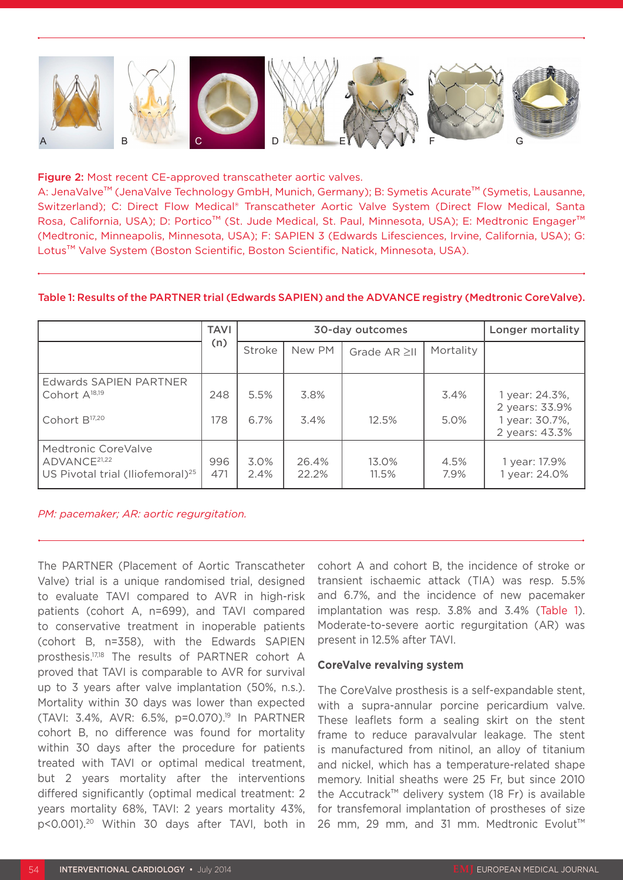

#### Figure 2: Most recent CE-approved transcatheter aortic valves.

A: JenaValve™ (JenaValve Technology GmbH, Munich, Germany); B: Symetis Acurate™ (Symetis, Lausanne, Switzerland); C: Direct Flow Medical® Transcatheter Aortic Valve System (Direct Flow Medical, Santa Rosa, California, USA); D: Portico™ (St. Jude Medical, St. Paul, Minnesota, USA); E: Medtronic Engager™ (Medtronic, Minneapolis, Minnesota, USA); F: SAPIEN 3 (Edwards Lifesciences, Irvine, California, USA); G: Lotus™ Valve System (Boston Scientific, Boston Scientific, Natick, Minnesota, USA).

|                                                                                                 | <b>TAVI</b> |              | 30-day outcomes   | Longer mortality |              |                                                                      |
|-------------------------------------------------------------------------------------------------|-------------|--------------|-------------------|------------------|--------------|----------------------------------------------------------------------|
|                                                                                                 | (n)         | Stroke       | New PM            | Grade AR ≥II     | Mortality    |                                                                      |
| <b>Edwards SAPIEN PARTNER</b><br>Cohort A <sup>18,19</sup><br>Cohort B <sup>17,20</sup>         | 248<br>178  | 5.5%<br>6.7% | 3.8%<br>3.4%      | 12.5%            | 3.4%<br>5.0% | 1 year: 24.3%,<br>2 years: 33.9%<br>1 year: 30.7%,<br>2 years: 43.3% |
| Medtronic CoreValve<br>ADVANCE <sup>21,22</sup><br>US Pivotal trial (Iliofemoral) <sup>25</sup> | 996<br>471  | 3.0%<br>2.4% | 26.4%<br>$22.2\%$ | 13.0%<br>11.5%   | 4.5%<br>7.9% | 1 year: 17.9%<br>year: 24.0%                                         |

#### Table 1: Results of the PARTNER trial (Edwards SAPIEN) and the ADVANCE registry (Medtronic CoreValve).

*PM: pacemaker; AR: aortic regurgitation.*

The PARTNER (Placement of Aortic Transcatheter Valve) trial is a unique randomised trial, designed to evaluate TAVI compared to AVR in high-risk patients (cohort A, n=699), and TAVI compared to conservative treatment in inoperable patients (cohort B, n=358), with the Edwards SAPIEN prosthesis.17,18 The results of PARTNER cohort A proved that TAVI is comparable to AVR for survival up to 3 years after valve implantation (50%, n.s.). Mortality within 30 days was lower than expected (TAVI: 3.4%, AVR: 6.5%, p=0.070).19 In PARTNER cohort B, no difference was found for mortality within 30 days after the procedure for patients treated with TAVI or optimal medical treatment, but 2 years mortality after the interventions differed significantly (optimal medical treatment: 2 years mortality 68%, TAVI: 2 years mortality 43%, p<0.001).20 Within 30 days after TAVI, both in

cohort A and cohort B, the incidence of stroke or transient ischaemic attack (TIA) was resp. 5.5% and 6.7%, and the incidence of new pacemaker implantation was resp. 3.8% and 3.4% (Table 1). Moderate-to-severe aortic regurgitation (AR) was present in 12.5% after TAVI.

#### **CoreValve revalving system**

The CoreValve prosthesis is a self-expandable stent, with a supra-annular porcine pericardium valve. These leaflets form a sealing skirt on the stent frame to reduce paravalvular leakage. The stent is manufactured from nitinol, an alloy of titanium and nickel, which has a temperature-related shape memory. Initial sheaths were 25 Fr, but since 2010 the Accutrack™ delivery system (18 Fr) is available for transfemoral implantation of prostheses of size 26 mm, 29 mm, and 31 mm. Medtronic Evolut™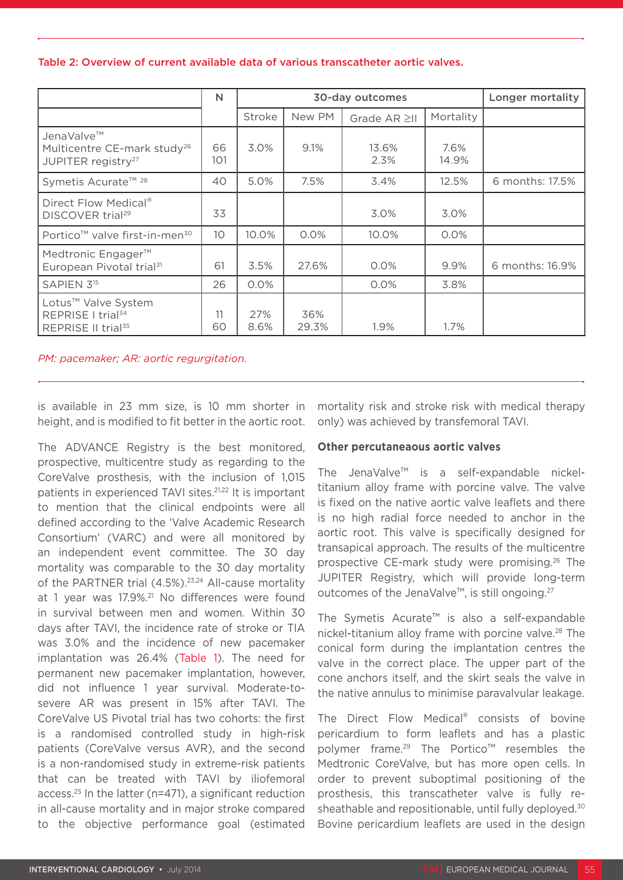### Table 2: Overview of current available data of various transcatheter aortic valves.

|                                                                                         | N               |             | 30-day outcomes | Longer mortality |               |                 |
|-----------------------------------------------------------------------------------------|-----------------|-------------|-----------------|------------------|---------------|-----------------|
|                                                                                         |                 | Stroke      | New PM          | Grade AR ≥II     | Mortality     |                 |
| JenaValve™<br>Multicentre CE-mark study <sup>26</sup><br>JUPITER registry <sup>27</sup> | 66<br>101       | 3.0%        | 9.1%            | 13.6%<br>2.3%    | 7.6%<br>14.9% |                 |
| Symetis Acurate™ 28                                                                     | 40              | 5.0%        | 7.5%            | 3.4%             | 12.5%         | 6 months: 17.5% |
| Direct Flow Medical®<br>DISCOVER trial <sup>29</sup>                                    | 33              |             |                 | 3.0%             | 3.0%          |                 |
| Portico <sup>™</sup> valve first-in-men <sup>30</sup>                                   | 10 <sup>°</sup> | 10.0%       | 0.0%            | 10.0%            | 0.0%          |                 |
| Medtronic Engager <sup>™</sup><br>European Pivotal trial <sup>31</sup>                  | 61              | 3.5%        | 27.6%           | 0.0%             | 9.9%          | 6 months: 16.9% |
| SAPIEN 3 <sup>15</sup>                                                                  | 26              | 0.0%        |                 | 0.0%             | 3.8%          |                 |
| Lotus™ Valve System<br>REPRISE I trial <sup>34</sup><br>REPRISE II trial <sup>35</sup>  | 11<br>60        | 27%<br>8.6% | 36%<br>29.3%    | 1.9%             | $1.7\%$       |                 |

*PM: pacemaker; AR: aortic regurgitation.*

is available in 23 mm size, is 10 mm shorter in height, and is modified to fit better in the aortic root.

The ADVANCE Registry is the best monitored, prospective, multicentre study as regarding to the CoreValve prosthesis, with the inclusion of 1,015 patients in experienced TAVI sites.21,22 It is important to mention that the clinical endpoints were all defined according to the 'Valve Academic Research Consortium' (VARC) and were all monitored by an independent event committee. The 30 day mortality was comparable to the 30 day mortality of the PARTNER trial (4.5%).<sup>23,24</sup> All-cause mortality at 1 year was 17.9%.<sup>21</sup> No differences were found in survival between men and women. Within 30 days after TAVI, the incidence rate of stroke or TIA was 3.0% and the incidence of new pacemaker implantation was 26.4% (Table 1). The need for permanent new pacemaker implantation, however, did not influence 1 year survival. Moderate-tosevere AR was present in 15% after TAVI. The CoreValve US Pivotal trial has two cohorts: the first is a randomised controlled study in high-risk patients (CoreValve versus AVR), and the second is a non-randomised study in extreme-risk patients that can be treated with TAVI by iliofemoral access.25 In the latter (n=471), a significant reduction in all-cause mortality and in major stroke compared to the objective performance goal (estimated

mortality risk and stroke risk with medical therapy only) was achieved by transfemoral TAVI.

## **Other percutaneaous aortic valves**

The JenaValve™ is a self-expandable nickeltitanium alloy frame with porcine valve. The valve is fixed on the native aortic valve leaflets and there is no high radial force needed to anchor in the aortic root. This valve is specifically designed for transapical approach. The results of the multicentre prospective CE-mark study were promising.26 The JUPITER Registry, which will provide long-term outcomes of the JenaValve™, is still ongoing.27

The Symetis Acurate™ is also a self-expandable nickel-titanium alloy frame with porcine valve.<sup>28</sup> The conical form during the implantation centres the valve in the correct place. The upper part of the cone anchors itself, and the skirt seals the valve in the native annulus to minimise paravalvular leakage.

The Direct Flow Medical® consists of bovine pericardium to form leaflets and has a plastic polymer frame.<sup>29</sup> The Portico™ resembles the Medtronic CoreValve, but has more open cells. In order to prevent suboptimal positioning of the prosthesis, this transcatheter valve is fully resheathable and repositionable, until fully deployed.<sup>30</sup> Bovine pericardium leaflets are used in the design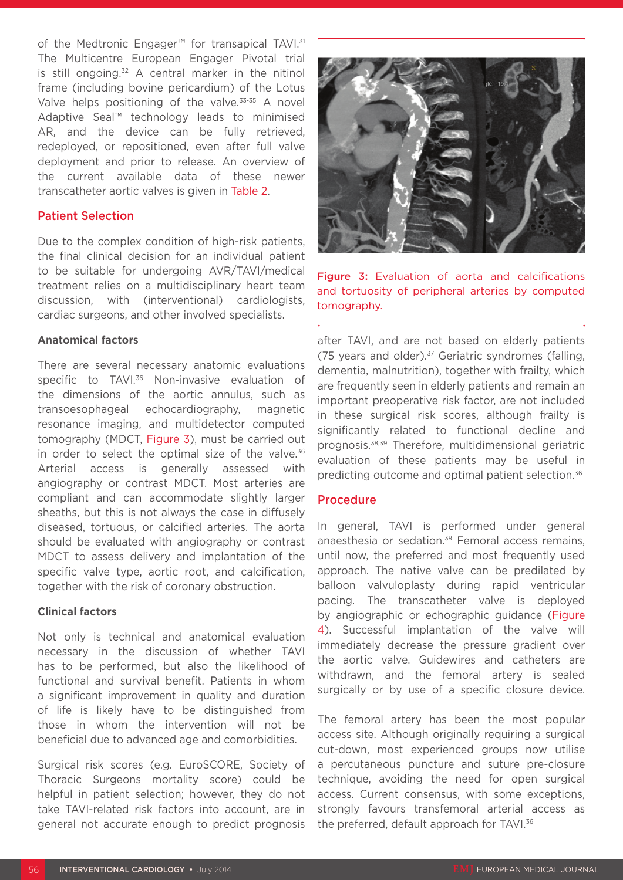of the Medtronic Engager<sup>™</sup> for transapical TAVI.<sup>31</sup> The Multicentre European Engager Pivotal trial is still ongoing.<sup>32</sup> A central marker in the nitinol frame (including bovine pericardium) of the Lotus Valve helps positioning of the valve.<sup>33-35</sup> A novel Adaptive Seal™ technology leads to minimised AR, and the device can be fully retrieved, redeployed, or repositioned, even after full valve deployment and prior to release. An overview of the current available data of these newer transcatheter aortic valves is given in Table 2.

#### Patient Selection

Due to the complex condition of high-risk patients, the final clinical decision for an individual patient to be suitable for undergoing AVR/TAVI/medical treatment relies on a multidisciplinary heart team discussion, with (interventional) cardiologists, cardiac surgeons, and other involved specialists.

### **Anatomical factors**

There are several necessary anatomic evaluations specific to TAVI.<sup>36</sup> Non-invasive evaluation of the dimensions of the aortic annulus, such as transoesophageal echocardiography, magnetic resonance imaging, and multidetector computed tomography (MDCT, Figure 3), must be carried out in order to select the optimal size of the valve. $36$ Arterial access is generally assessed with angiography or contrast MDCT. Most arteries are compliant and can accommodate slightly larger sheaths, but this is not always the case in diffusely diseased, tortuous, or calcified arteries. The aorta should be evaluated with angiography or contrast MDCT to assess delivery and implantation of the specific valve type, aortic root, and calcification, together with the risk of coronary obstruction.

#### **Clinical factors**

Not only is technical and anatomical evaluation necessary in the discussion of whether TAVI has to be performed, but also the likelihood of functional and survival benefit. Patients in whom a significant improvement in quality and duration of life is likely have to be distinguished from those in whom the intervention will not be beneficial due to advanced age and comorbidities.

Surgical risk scores (e.g. EuroSCORE, Society of Thoracic Surgeons mortality score) could be helpful in patient selection; however, they do not take TAVI-related risk factors into account, are in general not accurate enough to predict prognosis



Figure 3: Evaluation of aorta and calcifications and tortuosity of peripheral arteries by computed tomography.

after TAVI, and are not based on elderly patients (75 years and older).37 Geriatric syndromes (falling, dementia, malnutrition), together with frailty, which are frequently seen in elderly patients and remain an important preoperative risk factor, are not included in these surgical risk scores, although frailty is significantly related to functional decline and prognosis.38,39 Therefore, multidimensional geriatric evaluation of these patients may be useful in predicting outcome and optimal patient selection.36

## Procedure

In general, TAVI is performed under general anaesthesia or sedation.<sup>39</sup> Femoral access remains, until now, the preferred and most frequently used approach. The native valve can be predilated by balloon valvuloplasty during rapid ventricular pacing. The transcatheter valve is deployed by angiographic or echographic guidance (Figure 4). Successful implantation of the valve will immediately decrease the pressure gradient over the aortic valve. Guidewires and catheters are withdrawn, and the femoral artery is sealed surgically or by use of a specific closure device.

The femoral artery has been the most popular access site. Although originally requiring a surgical cut-down, most experienced groups now utilise a percutaneous puncture and suture pre-closure technique, avoiding the need for open surgical access. Current consensus, with some exceptions, strongly favours transfemoral arterial access as the preferred, default approach for TAVI.<sup>36</sup>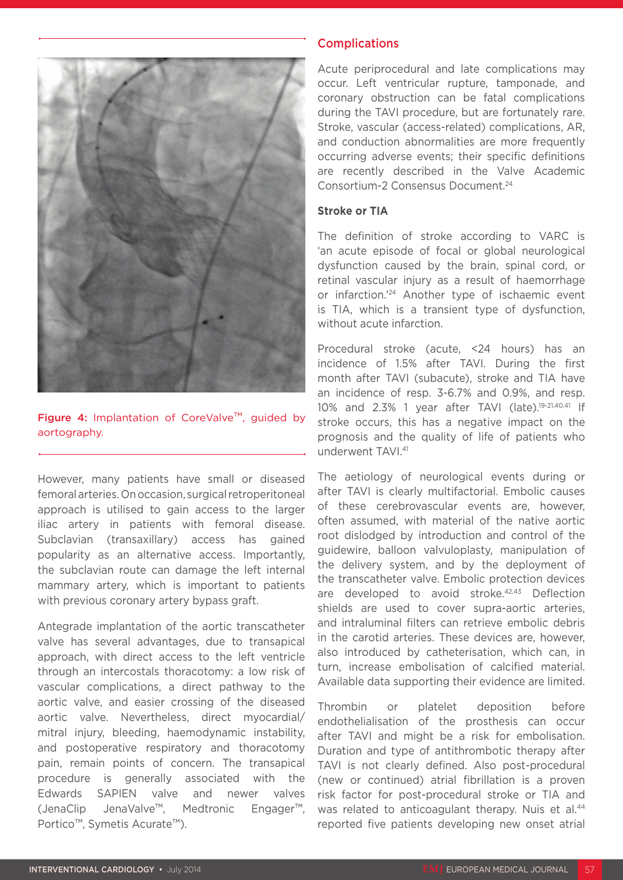

Figure 4: Implantation of CoreValve™, guided by aortography.

However, many patients have small or diseased femoral arteries. On occasion, surgical retroperitoneal approach is utilised to gain access to the larger iliac artery in patients with femoral disease. Subclavian (transaxillary) access has gained popularity as an alternative access. Importantly, the subclavian route can damage the left internal mammary artery, which is important to patients with previous coronary artery bypass graft.

Antegrade implantation of the aortic transcatheter valve has several advantages, due to transapical approach, with direct access to the left ventricle through an intercostals thoracotomy: a low risk of vascular complications, a direct pathway to the aortic valve, and easier crossing of the diseased aortic valve. Nevertheless, direct myocardial/ mitral injury, bleeding, haemodynamic instability, and postoperative respiratory and thoracotomy pain, remain points of concern. The transapical procedure is generally associated with the Edwards SAPIEN valve and newer valves (JenaClip JenaValve™, Medtronic Engager™, Portico™, Symetis Acurate™).

## **Complications**

Acute periprocedural and late complications may occur. Left ventricular rupture, tamponade, and coronary obstruction can be fatal complications during the TAVI procedure, but are fortunately rare. Stroke, vascular (access-related) complications, AR, and conduction abnormalities are more frequently occurring adverse events; their specific definitions are recently described in the Valve Academic Consortium-2 Consensus Document.24

#### **Stroke or TIA**

The definition of stroke according to VARC is 'an acute episode of focal or global neurological dysfunction caused by the brain, spinal cord, or retinal vascular injury as a result of haemorrhage or infarction.'24 Another type of ischaemic event is TIA, which is a transient type of dysfunction, without acute infarction.

Procedural stroke (acute, <24 hours) has an incidence of 1.5% after TAVI. During the first month after TAVI (subacute), stroke and TIA have an incidence of resp. 3-6.7% and 0.9%, and resp. 10% and 2.3% 1 year after TAVI (late).19-21,40,41 If stroke occurs, this has a negative impact on the prognosis and the quality of life of patients who underwent TAVI.41

The aetiology of neurological events during or after TAVI is clearly multifactorial. Embolic causes of these cerebrovascular events are, however, often assumed, with material of the native aortic root dislodged by introduction and control of the guidewire, balloon valvuloplasty, manipulation of the delivery system, and by the deployment of the transcatheter valve. Embolic protection devices are developed to avoid stroke.42,43 Deflection shields are used to cover supra-aortic arteries, and intraluminal filters can retrieve embolic debris in the carotid arteries. These devices are, however, also introduced by catheterisation, which can, in turn, increase embolisation of calcified material. Available data supporting their evidence are limited.

Thrombin or platelet deposition before endothelialisation of the prosthesis can occur after TAVI and might be a risk for embolisation. Duration and type of antithrombotic therapy after TAVI is not clearly defined. Also post-procedural (new or continued) atrial fibrillation is a proven risk factor for post-procedural stroke or TIA and was related to anticoagulant therapy. Nuis et al.<sup>44</sup> reported five patients developing new onset atrial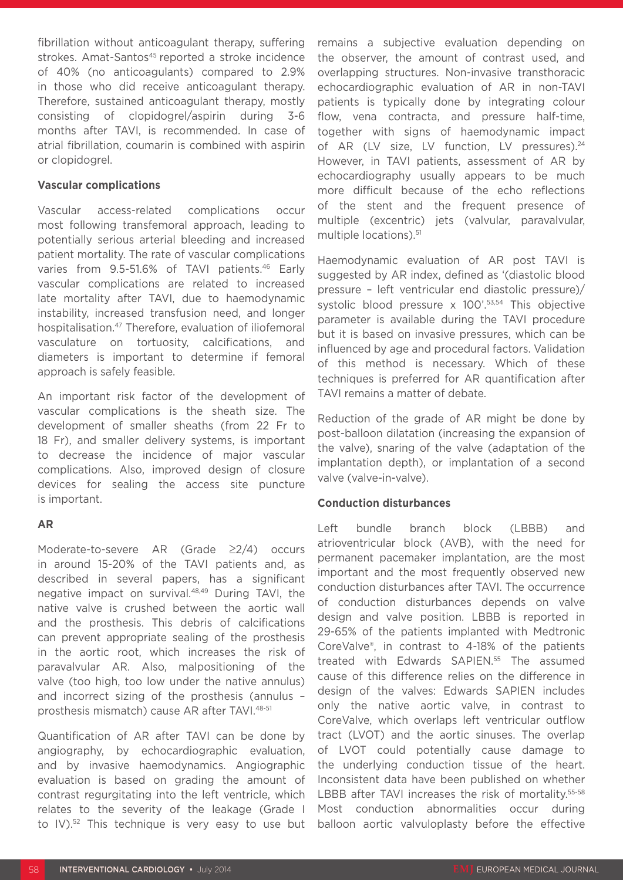fibrillation without anticoagulant therapy, suffering strokes. Amat-Santos<sup>45</sup> reported a stroke incidence of 40% (no anticoagulants) compared to 2.9% in those who did receive anticoagulant therapy. Therefore, sustained anticoagulant therapy, mostly consisting of clopidogrel/aspirin during 3-6 months after TAVI, is recommended. In case of atrial fibrillation, coumarin is combined with aspirin or clopidogrel.

### **Vascular complications**

Vascular access-related complications occur most following transfemoral approach, leading to potentially serious arterial bleeding and increased patient mortality. The rate of vascular complications varies from 9.5-51.6% of TAVI patients.<sup>46</sup> Early vascular complications are related to increased late mortality after TAVI, due to haemodynamic instability, increased transfusion need, and longer hospitalisation.47 Therefore, evaluation of iliofemoral vasculature on tortuosity, calcifications, and diameters is important to determine if femoral approach is safely feasible.

An important risk factor of the development of vascular complications is the sheath size. The development of smaller sheaths (from 22 Fr to 18 Fr), and smaller delivery systems, is important to decrease the incidence of major vascular complications. Also, improved design of closure devices for sealing the access site puncture is important.

## **AR**

Moderate-to-severe AR (Grade ≥2/4) occurs in around 15-20% of the TAVI patients and, as described in several papers, has a significant negative impact on survival.48,49 During TAVI, the native valve is crushed between the aortic wall and the prosthesis. This debris of calcifications can prevent appropriate sealing of the prosthesis in the aortic root, which increases the risk of paravalvular AR. Also, malpositioning of the valve (too high, too low under the native annulus) and incorrect sizing of the prosthesis (annulus – prosthesis mismatch) cause AR after TAVI.48-51

Quantification of AR after TAVI can be done by angiography, by echocardiographic evaluation, and by invasive haemodynamics. Angiographic evaluation is based on grading the amount of contrast regurgitating into the left ventricle, which relates to the severity of the leakage (Grade I to IV).<sup>52</sup> This technique is very easy to use but

remains a subjective evaluation depending on the observer, the amount of contrast used, and overlapping structures. Non-invasive transthoracic echocardiographic evaluation of AR in non-TAVI patients is typically done by integrating colour flow, vena contracta, and pressure half-time, together with signs of haemodynamic impact of AR (LV size, LV function, LV pressures).<sup>24</sup> However, in TAVI patients, assessment of AR by echocardiography usually appears to be much more difficult because of the echo reflections of the stent and the frequent presence of multiple (excentric) jets (valvular, paravalvular, multiple locations).51

Haemodynamic evaluation of AR post TAVI is suggested by AR index, defined as '(diastolic blood pressure – left ventricular end diastolic pressure)/ systolic blood pressure x 100'.<sup>53,54</sup> This objective parameter is available during the TAVI procedure but it is based on invasive pressures, which can be influenced by age and procedural factors. Validation of this method is necessary. Which of these techniques is preferred for AR quantification after TAVI remains a matter of debate.

Reduction of the grade of AR might be done by post-balloon dilatation (increasing the expansion of the valve), snaring of the valve (adaptation of the implantation depth), or implantation of a second valve (valve-in-valve).

## **Conduction disturbances**

Left bundle branch block (LBBB) and atrioventricular block (AVB), with the need for permanent pacemaker implantation, are the most important and the most frequently observed new conduction disturbances after TAVI. The occurrence of conduction disturbances depends on valve design and valve position. LBBB is reported in 29-65% of the patients implanted with Medtronic CoreValve®, in contrast to 4-18% of the patients treated with Edwards SAPIEN.<sup>55</sup> The assumed cause of this difference relies on the difference in design of the valves: Edwards SAPIEN includes only the native aortic valve, in contrast to CoreValve, which overlaps left ventricular outflow tract (LVOT) and the aortic sinuses. The overlap of LVOT could potentially cause damage to the underlying conduction tissue of the heart. Inconsistent data have been published on whether LBBB after TAVI increases the risk of mortality.<sup>55-58</sup> Most conduction abnormalities occur during balloon aortic valvuloplasty before the effective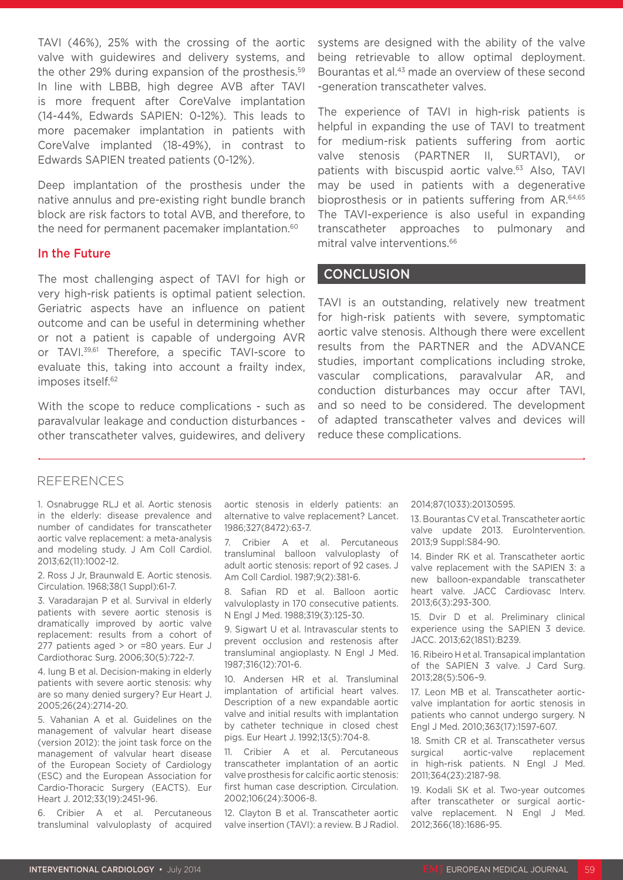TAVI (46%), 25% with the crossing of the aortic valve with guidewires and delivery systems, and the other 29% during expansion of the prosthesis.<sup>59</sup> In line with LBBB, high degree AVB after TAVI is more frequent after CoreValve implantation (14-44%, Edwards SAPIEN: 0-12%). This leads to more pacemaker implantation in patients with CoreValve implanted (18-49%), in contrast to Edwards SAPIEN treated patients (0-12%).

Deep implantation of the prosthesis under the native annulus and pre-existing right bundle branch block are risk factors to total AVB, and therefore, to the need for permanent pacemaker implantation.<sup>60</sup>

#### In the Future

The most challenging aspect of TAVI for high or very high-risk patients is optimal patient selection. Geriatric aspects have an influence on patient outcome and can be useful in determining whether or not a patient is capable of undergoing AVR or TAVI.39,61 Therefore, a specific TAVI-score to evaluate this, taking into account a frailty index, imposes itself.<sup>62</sup>

With the scope to reduce complications - such as paravalvular leakage and conduction disturbances other transcatheter valves, guidewires, and delivery systems are designed with the ability of the valve being retrievable to allow optimal deployment. Bourantas et al.<sup>43</sup> made an overview of these second -generation transcatheter valves.

The experience of TAVI in high-risk patients is helpful in expanding the use of TAVI to treatment for medium-risk patients suffering from aortic valve stenosis (PARTNER II, SURTAVI), or patients with biscuspid aortic valve.63 Also, TAVI may be used in patients with a degenerative bioprosthesis or in patients suffering from AR.<sup>64,65</sup> The TAVI-experience is also useful in expanding transcatheter approaches to pulmonary and mitral valve interventions.<sup>66</sup>

## **CONCLUSION**

TAVI is an outstanding, relatively new treatment for high-risk patients with severe, symptomatic aortic valve stenosis. Although there were excellent results from the PARTNER and the ADVANCE studies, important complications including stroke, vascular complications, paravalvular AR, and conduction disturbances may occur after TAVI, and so need to be considered. The development of adapted transcatheter valves and devices will reduce these complications.

### REFERENCES

1. Osnabrugge RLJ et al. Aortic stenosis in the elderly: disease prevalence and number of candidates for transcatheter aortic valve replacement: a meta-analysis and modeling study. J Am Coll Cardiol. 2013;62(11):1002-12.

2. Ross J Jr, Braunwald E. Aortic stenosis. Circulation. 1968;38(1 Suppl):61-7.

3. Varadarajan P et al. Survival in elderly patients with severe aortic stenosis is dramatically improved by aortic valve replacement: results from a cohort of 277 patients aged > or =80 years. Eur J Cardiothorac Surg. 2006;30(5):722-7.

4. Iung B et al. Decision-making in elderly patients with severe aortic stenosis: why are so many denied surgery? Eur Heart J. 2005;26(24):2714-20.

5. Vahanian A et al. Guidelines on the management of valvular heart disease (version 2012): the joint task force on the management of valvular heart disease of the European Society of Cardiology (ESC) and the European Association for Cardio-Thoracic Surgery (EACTS). Eur Heart J. 2012;33(19):2451-96.

6. Cribier A et al. Percutaneous transluminal valvuloplasty of acquired

aortic stenosis in elderly patients: an alternative to valve replacement? Lancet. 1986;327(8472):63-7.

7. Cribier A et al. Percutaneous transluminal balloon valvuloplasty of adult aortic stenosis: report of 92 cases. J Am Coll Cardiol. 1987;9(2):381-6.

8. Safian RD et al. Balloon aortic valvuloplasty in 170 consecutive patients. N Engl J Med. 1988;319(3):125-30.

9. Sigwart U et al. Intravascular stents to prevent occlusion and restenosis after transluminal angioplasty. N Engl J Med. 1987;316(12):701-6.

10. Andersen HR et al. Transluminal implantation of artificial heart valves. Description of a new expandable aortic valve and initial results with implantation by catheter technique in closed chest pigs. Eur Heart J. 1992;13(5):704-8.

11. Cribier A et al. Percutaneous transcatheter implantation of an aortic valve prosthesis for calcific aortic stenosis: first human case description. Circulation. 2002;106(24):3006-8.

12. Clayton B et al. Transcatheter aortic valve insertion (TAVI): a review. B J Radiol.

#### 2014;87(1033):20130595.

13. Bourantas CV et al. Transcatheter aortic valve update 2013. EuroIntervention. 2013;9 Suppl:S84-90.

14. Binder RK et al. Transcatheter aortic valve replacement with the SAPIEN 3: a new balloon-expandable transcatheter heart valve. JACC Cardiovasc Interv. 2013;6(3):293-300.

15. Dvir D et al. Preliminary clinical experience using the SAPIEN 3 device. JACC. 2013;62(18S1):B239.

16. Ribeiro H et al. Transapical implantation of the SAPIEN 3 valve. J Card Surg. 2013;28(5):506–9.

17. Leon MB et al. Transcatheter aorticvalve implantation for aortic stenosis in patients who cannot undergo surgery. N Engl J Med. 2010;363(17):1597-607.

18. Smith CR et al. Transcatheter versus surgical aortic-valve replacement in high-risk patients. N Engl J Med. 2011;364(23):2187-98.

19. Kodali SK et al. Two-year outcomes after transcatheter or surgical aorticvalve replacement. N Engl J Med. 2012;366(18):1686-95.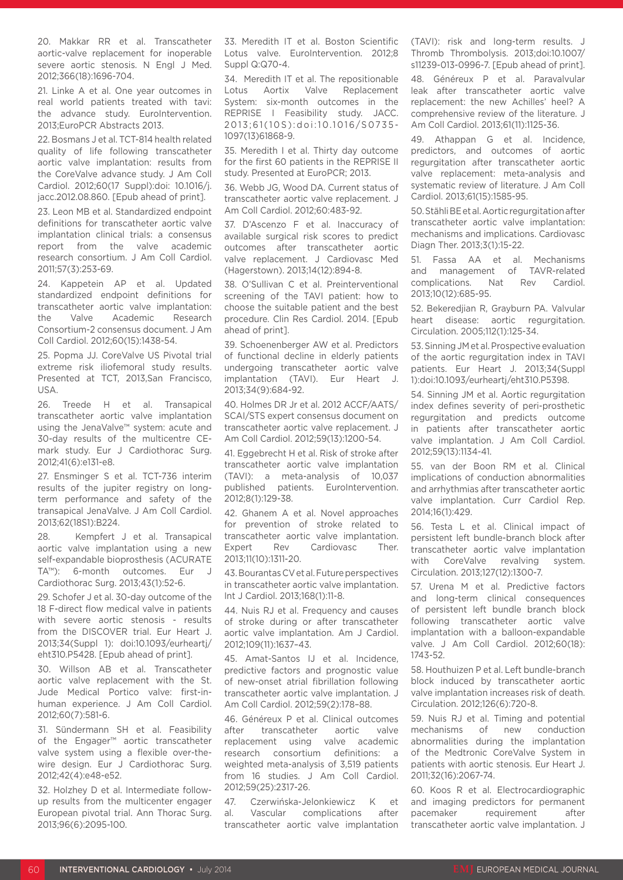20. Makkar RR et al. Transcatheter aortic-valve replacement for inoperable severe aortic stenosis. N Engl J Med. 2012;366(18):1696-704.

21. Linke A et al. One year outcomes in real world patients treated with tavi: the advance study. EuroIntervention. 2013;EuroPCR Abstracts 2013.

22. Bosmans J et al. TCT-814 health related quality of life following transcatheter aortic valve implantation: results from the CoreValve advance study. J Am Coll Cardiol. 2012;60(17 Suppl):doi: 10.1016/j. jacc.2012.08.860. [Epub ahead of print].

23. Leon MB et al. Standardized endpoint definitions for transcatheter aortic valve implantation clinical trials: a consensus report from the valve academic research consortium. J Am Coll Cardiol. 2011;57(3):253-69.

24. Kappetein AP et al. Updated standardized endpoint definitions for transcatheter aortic valve implantation: the Valve Academic Research Consortium-2 consensus document. J Am Coll Cardiol. 2012;60(15):1438-54.

25. Popma JJ. CoreValve US Pivotal trial extreme risk iliofemoral study results. Presented at TCT, 2013,San Francisco, USA.

26. Treede H et al. Transapical transcatheter aortic valve implantation using the JenaValve™ system: acute and 30-day results of the multicentre CEmark study. Eur J Cardiothorac Surg. 2012;41(6):e131-e8.

27. Ensminger S et al. TCT-736 interim results of the jupiter registry on longterm performance and safety of the transapical JenaValve. J Am Coll Cardiol. 2013;62(18S1):B224.

28. Kempfert J et al. Transapical aortic valve implantation using a new self-expandable bioprosthesis (ACURATE TA™): 6-month outcomes. Eur J Cardiothorac Surg. 2013;43(1):52-6.

29. Schofer J et al. 30-day outcome of the 18 F-direct flow medical valve in patients with severe aortic stenosis - results from the DISCOVER trial. Eur Heart J. 2013;34(Suppl 1): doi:10.1093/eurheartj/ eht310.P5428. [Epub ahead of print].

30. Willson AB et al. Transcatheter aortic valve replacement with the St. Jude Medical Portico valve: first-inhuman experience. J Am Coll Cardiol. 2012;60(7):581-6.

31. Sündermann SH et al. Feasibility of the Engager™ aortic transcatheter valve system using a flexible over-thewire design. Eur J Cardiothorac Surg. 2012;42(4):e48-e52.

32. Holzhey D et al. Intermediate followup results from the multicenter engager European pivotal trial. Ann Thorac Surg. 2013;96(6):2095-100.

33. Meredith IT et al. Boston Scientific Lotus valve. EuroIntervention. 2012;8 Suppl Q:Q70-4.

34. Meredith IT et al. The repositionable Lotus Aortix Valve Replacement System: six-month outcomes in the REPRISE I Feasibility study. JACC. 2013;61(10S):doi:10.1016/S0735- 1097(13)61868-9.

35. Meredith I et al. Thirty day outcome for the first 60 patients in the REPRISE II study. Presented at EuroPCR; 2013.

36. Webb JG, Wood DA. Current status of transcatheter aortic valve replacement. J Am Coll Cardiol. 2012;60:483-92.

37. D'Ascenzo F et al. Inaccuracy of available surgical risk scores to predict outcomes after transcatheter aortic valve replacement. J Cardiovasc Med (Hagerstown). 2013;14(12):894-8.

38. O'Sullivan C et al. Preinterventional screening of the TAVI patient: how to choose the suitable patient and the best procedure. Clin Res Cardiol. 2014. [Epub ahead of print].

39. Schoenenberger AW et al. Predictors of functional decline in elderly patients undergoing transcatheter aortic valve implantation (TAVI). Eur Heart J. 2013;34(9):684-92.

40. Holmes DR Jr et al. 2012 ACCF/AATS/ SCAI/STS expert consensus document on transcatheter aortic valve replacement. J Am Coll Cardiol. 2012;59(13):1200-54.

41. Eggebrecht H et al. Risk of stroke after transcatheter aortic valve implantation (TAVI): a meta-analysis of 10,037 published patients. EuroIntervention. 2012;8(1):129-38.

42. Ghanem A et al. Novel approaches for prevention of stroke related to transcatheter aortic valve implantation. Expert Rev Cardiovasc Ther. 2013;11(10):1311-20.

43. Bourantas CV et al. Future perspectives in transcatheter aortic valve implantation. Int J Cardiol. 2013;168(1):11-8.

44. Nuis RJ et al. Frequency and causes of stroke during or after transcatheter aortic valve implantation. Am J Cardiol. 2012;109(11):1637–43.

45. Amat-Santos IJ et al. Incidence, predictive factors and prognostic value of new-onset atrial fibrillation following transcatheter aortic valve implantation. J Am Coll Cardiol. 2012;59(2):178–88.

46. Généreux P et al. Clinical outcomes after transcatheter aortic valve replacement using valve academic research consortium definitions: a weighted meta-analysis of 3,519 patients from 16 studies. J Am Coll Cardiol. 2012;59(25):2317-26.

47. Czerwińska-Jelonkiewicz K et al. Vascular complications after transcatheter aortic valve implantation (TAVI): risk and long-term results. J Thromb Thrombolysis. 2013;doi:10.1007/ s11239-013-0996-7. [Epub ahead of print].

48. Généreux P et al. Paravalvular leak after transcatheter aortic valve replacement: the new Achilles' heel? A comprehensive review of the literature. J Am Coll Cardiol. 2013;61(11):1125-36.

49. Athappan G et al. Incidence, predictors, and outcomes of aortic regurgitation after transcatheter aortic valve replacement: meta-analysis and systematic review of literature. J Am Coll Cardiol. 2013;61(15):1585-95.

50. Stähli BE et al. Aortic regurgitation after transcatheter aortic valve implantation: mechanisms and implications. Cardiovasc Diagn Ther. 2013;3(1):15-22.

51. Fassa AA et al. Mechanisms and management of TAVR-related complications. Nat Rev Cardiol. 2013;10(12):685-95.

52. Bekeredjian R, Grayburn PA. Valvular heart disease: aortic regurgitation. Circulation. 2005;112(1):125-34.

53. Sinning JM et al. Prospective evaluation of the aortic regurgitation index in TAVI patients. Eur Heart J. 2013;34(Suppl 1):doi:10.1093/eurheartj/eht310.P5398.

54. Sinning JM et al. Aortic regurgitation index defines severity of peri-prosthetic regurgitation and predicts outcome in patients after transcatheter aortic valve implantation. J Am Coll Cardiol. 2012;59(13):1134-41.

55. van der Boon RM et al. Clinical implications of conduction abnormalities and arrhythmias after transcatheter aortic valve implantation. Curr Cardiol Rep. 2014;16(1):429.

56. Testa L et al. Clinical impact of persistent left bundle-branch block after transcatheter aortic valve implantation with CoreValve revalving system. Circulation. 2013;127(12):1300-7.

57. Urena M et al. Predictive factors and long-term clinical consequences of persistent left bundle branch block following transcatheter aortic valve implantation with a balloon-expandable valve. J Am Coll Cardiol. 2012;60(18): 1743-52.

58. Houthuizen P et al. Left bundle-branch block induced by transcatheter aortic valve implantation increases risk of death. Circulation. 2012;126(6):720-8.

59. Nuis RJ et al. Timing and potential mechanisms of new conduction abnormalities during the implantation of the Medtronic CoreValve System in patients with aortic stenosis. Eur Heart J. 2011;32(16):2067-74.

60. Koos R et al. Electrocardiographic and imaging predictors for permanent pacemaker requirement after transcatheter aortic valve implantation. J